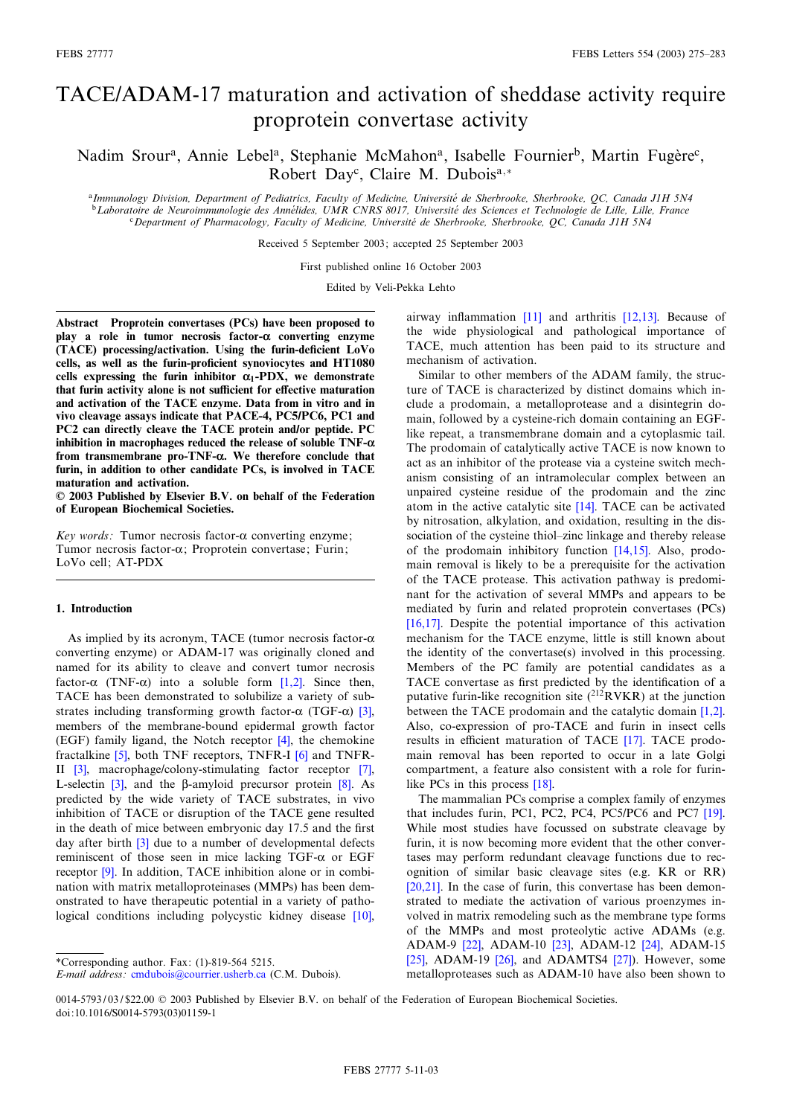# TACE/ADAM-17 maturation and activation of sheddase activity require proprotein convertase activity

# Nadim Srour<sup>a</sup>, Annie Lebel<sup>a</sup>, Stephanie McMahon<sup>a</sup>, Isabelle Fournier<sup>b</sup>, Martin Fugère<sup>c</sup>, Robert Day<sup>c</sup>, Claire M. Dubois<sup>a,\*</sup>

aImmunology Division, Department of Pediatrics, Faculty of Medicine, Université de Sherbrooke, Sherbrooke, QC, Canada J1H 5N4 <sup>b</sup>Laboratoire de Neuroimmunologie des Annélides, UMR CNRS 8017, Université des Sciences et Technologie de Lille, Lille, France <sup>c</sup>Department of Pharmacology, Faculty of Medicine, Université de Sherbrooke, Sherbrooke, QC, Canada J1H 5N4

Received 5 September 2003; accepted 25 September 2003

First published online 16 October 2003

Edited by Veli-Pekka Lehto

Abstract Proprotein convertases (PCs) have been proposed to play a role in tumor necrosis factor- $\alpha$  converting enzyme (TACE) processing/activation. Using the furin-deficient LoVo cells, as well as the furin-proficient synoviocytes and HT1080 cells expressing the furin inhibitor  $\alpha_1$ -PDX, we demonstrate that furin activity alone is not sufficient for effective maturation and activation of the TACE enzyme. Data from in vitro and in vivo cleavage assays indicate that PACE-4, PC5/PC6, PC1 and PC2 can directly cleave the TACE protein and/or peptide. PC inhibition in macrophages reduced the release of soluble  $TNF-\alpha$ from transmembrane pro-TNF- $\alpha$ . We therefore conclude that furin, in addition to other candidate PCs, is involved in TACE maturation and activation.

6 2003 Published by Elsevier B.V. on behalf of the Federation of European Biochemical Societies.

Key words: Tumor necrosis factor- $\alpha$  converting enzyme; Tumor necrosis factor- $\alpha$ ; Proprotein convertase; Furin; LoVo cell; AT-PDX

# 1. Introduction

As implied by its acronym, TACE (tumor necrosis factor- $\alpha$ ) converting enzyme) or ADAM-17 was originally cloned and named for its ability to cleave and convert tumor necrosis factor- $\alpha$  (TNF- $\alpha$ ) into a soluble form [\[1,2\]](#page-7-0). Since then, TACE has been demonstrated to solubilize a variety of substrates including transforming growth factor- $\alpha$  (TGF- $\alpha$ ) [\[3\],](#page-7-0) members of the membrane-bound epidermal growth factor (EGF) family ligand, the Notch receptor [\[4\]](#page-7-0), the chemokine fractalkine [\[5\],](#page-7-0) both TNF receptors, TNFR-I [\[6\]](#page-7-0) and TNFR-II [\[3\]](#page-7-0), macrophage/colony-stimulating factor receptor [\[7\],](#page-7-0) L-selectin  $\begin{bmatrix} 3 \end{bmatrix}$ , and the  $\beta$ -amyloid precursor protein  $\begin{bmatrix} 8 \end{bmatrix}$ . As predicted by the wide variety of TACE substrates, in vivo inhibition of TACE or disruption of the TACE gene resulted in the death of mice between embryonic day 17.5 and the first day after birth [\[3\]](#page-7-0) due to a number of developmental defects reminiscent of those seen in mice lacking TGF- $\alpha$  or EGF receptor [\[9\]](#page-7-0). In addition, TACE inhibition alone or in combination with matrix metalloproteinases (MMPs) has been demonstrated to have therapeutic potential in a variety of pathological conditions including polycystic kidney disease [\[10\],](#page-7-0)

airway inflammation  $[11]$  and arthritis  $[12,13]$ . Because of the wide physiological and pathological importance of TACE, much attention has been paid to its structure and mechanism of activation.

Similar to other members of the ADAM family, the structure of TACE is characterized by distinct domains which include a prodomain, a metalloprotease and a disintegrin domain, followed by a cysteine-rich domain containing an EGFlike repeat, a transmembrane domain and a cytoplasmic tail. The prodomain of catalytically active TACE is now known to act as an inhibitor of the protease via a cysteine switch mechanism consisting of an intramolecular complex between an unpaired cysteine residue of the prodomain and the zinc atom in the active catalytic site [\[14\]](#page-7-0). TACE can be activated by nitrosation, alkylation, and oxidation, resulting in the dissociation of the cysteine thiol-zinc linkage and thereby release of the prodomain inhibitory function [\[14,15\].](#page-7-0) Also, prodomain removal is likely to be a prerequisite for the activation of the TACE protease. This activation pathway is predominant for the activation of several MMPs and appears to be mediated by furin and related proprotein convertases (PCs) [\[16,17\]](#page-7-0). Despite the potential importance of this activation mechanism for the TACE enzyme, little is still known about the identity of the convertase(s) involved in this processing. Members of the PC family are potential candidates as a TACE convertase as first predicted by the identification of a putative furin-like recognition site  $(^{212}RVKR)$  at the junction between the TACE prodomain and the catalytic domain [\[1,2\].](#page-7-0) Also, co-expression of pro-TACE and furin in insect cells results in efficient maturation of TACE [\[17\]](#page-7-0). TACE prodomain removal has been reported to occur in a late Golgi compartment, a feature also consistent with a role for furin-like PCs in this process [\[18\]](#page-7-0).

The mammalian PCs comprise a complex family of enzymes that includes furin, PC1, PC2, PC4, PC5/PC6 and PC7 [\[19\].](#page-7-0) While most studies have focussed on substrate cleavage by furin, it is now becoming more evident that the other convertases may perform redundant cleavage functions due to recognition of similar basic cleavage sites (e.g. KR or RR) [\[20,21\]](#page-7-0). In the case of furin, this convertase has been demonstrated to mediate the activation of various proenzymes involved in matrix remodeling such as the membrane type forms of the MMPs and most proteolytic active ADAMs (e.g. ADAM-9 [\[22\],](#page-7-0) ADAM-10 [\[23\]](#page-7-0), ADAM-12 [\[24\],](#page-7-0) ADAM-15  $[25]$ , ADAM-19  $[26]$ , and ADAMTS4  $[27]$ ). However, some metalloproteases such as ADAM-10 have also been shown to

<sup>\*</sup>Corresponding author. Fax: (1)-819-564 5215.

E-mail address: [cmdubois@courrier.usherb.ca](mailto:cmdubois@courrier.usherb.ca) (C.M. Dubois).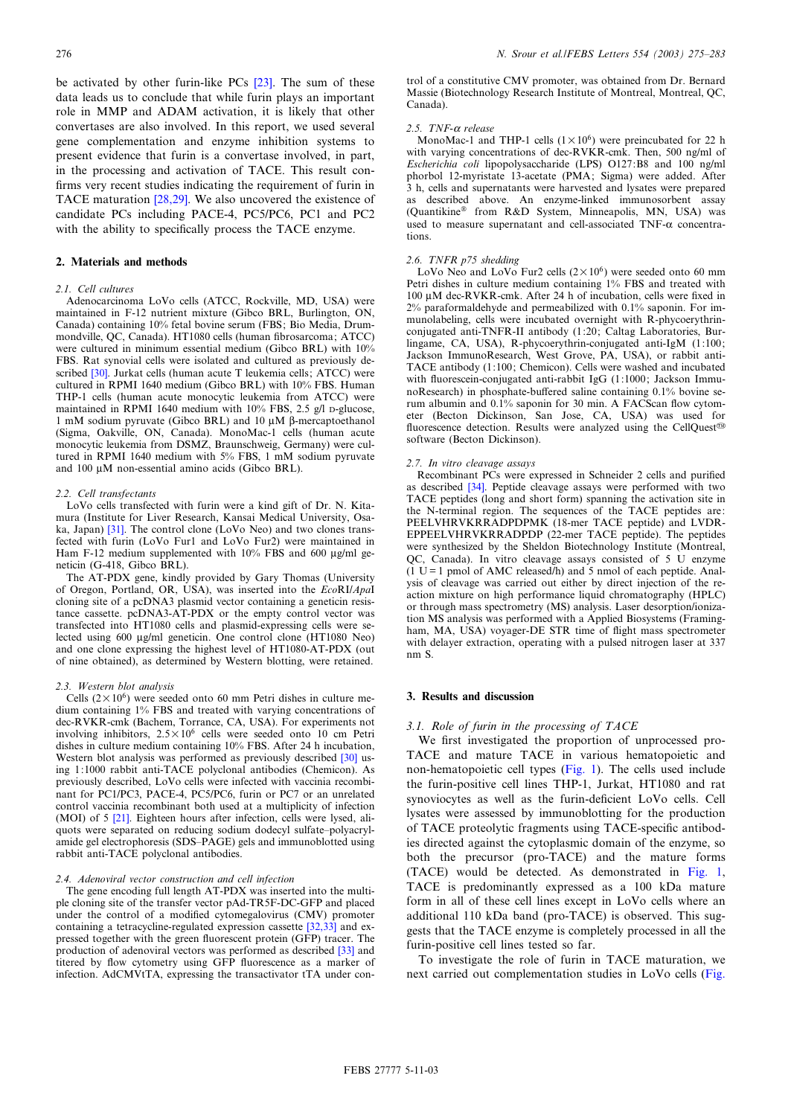<span id="page-1-0"></span>be activated by other furin-like PCs [\[23\]](#page-7-0). The sum of these data leads us to conclude that while furin plays an important role in MMP and ADAM activation, it is likely that other convertases are also involved. In this report, we used several gene complementation and enzyme inhibition systems to present evidence that furin is a convertase involved, in part, in the processing and activation of TACE. This result con firms very recent studies indicating the requirement of furin in TACE maturation [\[28,29\]](#page-7-0). We also uncovered the existence of candidate PCs including PACE-4, PC5/PC6, PC1 and PC2 with the ability to specifically process the TACE enzyme.

# 2. Materials and methods

#### 2.1. Cell cultures

Adenocarcinoma LoVo cells (ATCC, Rockville, MD, USA) were maintained in F-12 nutrient mixture (Gibco BRL, Burlington, ON, Canada) containing 10% fetal bovine serum (FBS; Bio Media, Drummondville, QC, Canada). HT1080 cells (human ¢brosarcoma; ATCC) were cultured in minimum essential medium (Gibco BRL) with 10% FBS. Rat synovial cells were isolated and cultured as previously de-scribed [\[30\].](#page-8-0) Jurkat cells (human acute T leukemia cells; ATCC) were cultured in RPMI 1640 medium (Gibco BRL) with 10% FBS. Human THP-1 cells (human acute monocytic leukemia from ATCC) were maintained in RPMI 1640 medium with 10% FBS, 2.5 g/l D-glucose, 1 mM sodium pyruvate (Gibco BRL) and 10  $\mu$ M  $\beta$ -mercaptoethanol (Sigma, Oakville, ON, Canada). MonoMac-1 cells (human acute monocytic leukemia from DSMZ, Braunschweig, Germany) were cultured in RPMI 1640 medium with 5% FBS, 1 mM sodium pyruvate and 100 µM non-essential amino acids (Gibco BRL).

#### 2.2. Cell transfectants

LoVo cells transfected with furin were a kind gift of Dr. N. Kitamura (Institute for Liver Research, Kansai Medical University, Osaka, Japan) [\[31\]](#page-8-0). The control clone (LoVo Neo) and two clones transfected with furin (LoVo Fur1 and LoVo Fur2) were maintained in Ham F-12 medium supplemented with  $10\%$  FBS and 600  $\mu$ g/ml geneticin (G-418, Gibco BRL).

The AT-PDX gene, kindly provided by Gary Thomas (University of Oregon, Portland, OR, USA), was inserted into the EcoRI/ApaI cloning site of a pcDNA3 plasmid vector containing a geneticin resistance cassette. pcDNA3-AT-PDX or the empty control vector was transfected into HT1080 cells and plasmid-expressing cells were selected using 600  $\mu$ g/ml geneticin. One control clone (HT1080 Neo) and one clone expressing the highest level of HT1080-AT-PDX (out of nine obtained), as determined by Western blotting, were retained.

#### 2.3. Western blot analysis

Cells  $(2 \times 10^6)$  were seeded onto 60 mm Petri dishes in culture medium containing 1% FBS and treated with varying concentrations of dec-RVKR-cmk (Bachem, Torrance, CA, USA). For experiments not involving inhibitors,  $2.5 \times 10^6$  cells were seeded onto 10 cm Petri dishes in culture medium containing 10% FBS. After 24 h incubation, Western blot analysis was performed as previously described [\[30\]](#page-8-0) using 1:1000 rabbit anti-TACE polyclonal antibodies (Chemicon). As previously described, LoVo cells were infected with vaccinia recombinant for PC1/PC3, PACE-4, PC5/PC6, furin or PC7 or an unrelated control vaccinia recombinant both used at a multiplicity of infection (MOI) of 5 [\[21\]](#page-7-0). Eighteen hours after infection, cells were lysed, aliquots were separated on reducing sodium dodecyl sulfate^polyacrylamide gel electrophoresis (SDS^PAGE) gels and immunoblotted using rabbit anti-TACE polyclonal antibodies.

#### 2.4. Adenoviral vector construction and cell infection

The gene encoding full length AT-PDX was inserted into the multiple cloning site of the transfer vector pAd-TR5F-DC-GFP and placed under the control of a modified cytomegalovirus (CMV) promoter containing a tetracycline-regulated expression cassette [\[32,33\]](#page-8-0) and expressed together with the green fluorescent protein (GFP) tracer. The production of adenoviral vectors was performed as described [\[33\]](#page-8-0) and titered by flow cytometry using GFP fluorescence as a marker of infection. AdCMVtTA, expressing the transactivator tTA under control of a constitutive CMV promoter, was obtained from Dr. Bernard Massie (Biotechnology Research Institute of Montreal, Montreal, QC, Canada).

# 2.5.  $TNF-\alpha$  release

MonoMac-1 and THP-1 cells  $(1 \times 10^6)$  were preincubated for 22 h with varying concentrations of dec-RVKR-cmk. Then, 500 ng/ml of Escherichia coli lipopolysaccharide (LPS) O127:B8 and 100 ng/ml phorbol 12-myristate 13-acetate (PMA; Sigma) were added. After 3 h, cells and supernatants were harvested and lysates were prepared as described above. An enzyme-linked immunosorbent assay (Quantikine® from R&D System, Minneapolis, MN, USA) was used to measure supernatant and cell-associated TNF- $\alpha$  concentrations.

#### 2.6. TNFR p75 shedding

LoVo Neo and LoVo Fur2 cells  $(2\times10^6)$  were seeded onto 60 mm Petri dishes in culture medium containing 1% FBS and treated with  $100 \mu M$  dec-RVKR-cmk. After 24 h of incubation, cells were fixed in 2% paraformaldehyde and permeabilized with 0.1% saponin. For immunolabeling, cells were incubated overnight with R-phycoerythrinconjugated anti-TNFR-II antibody (1:20; Caltag Laboratories, Burlingame, CA, USA), R-phycoerythrin-conjugated anti-IgM (1:100; Jackson ImmunoResearch, West Grove, PA, USA), or rabbit anti-TACE antibody (1:100; Chemicon). Cells were washed and incubated with fluorescein-conjugated anti-rabbit IgG (1:1000; Jackson ImmunoResearch) in phosphate-buffered saline containing 0.1% bovine serum albumin and 0.1% saponin for 30 min. A FACScan flow cytometer (Becton Dickinson, San Jose, CA, USA) was used for fluorescence detection. Results were analyzed using the CellQuest<sup>®</sup> software (Becton Dickinson).

#### 2.7. In vitro cleavage assays

Recombinant PCs were expressed in Schneider 2 cells and purified as described [\[34\]](#page-8-0). Peptide cleavage assays were performed with two TACE peptides (long and short form) spanning the activation site in the N-terminal region. The sequences of the TACE peptides are: PEELVHRVKRRADPDPMK (18-mer TACE peptide) and LVDR-EPPEELVHRVKRRADPDP (22-mer TACE peptide). The peptides were synthesized by the Sheldon Biotechnology Institute (Montreal, QC, Canada). In vitro cleavage assays consisted of 5 U enzyme  $(1 \text{ U}=1 \text{ pmol of AMC released/h})$  and 5 nmol of each peptide. Analysis of cleavage was carried out either by direct injection of the reaction mixture on high performance liquid chromatography (HPLC) or through mass spectrometry (MS) analysis. Laser desorption/ionization MS analysis was performed with a Applied Biosystems (Framingham, MA, USA) voyager-DE STR time of flight mass spectrometer with delayer extraction, operating with a pulsed nitrogen laser at 337 nm S.

#### 3. Results and discussion

# 3.1. Role of furin in the processing of TACE

We first investigated the proportion of unprocessed pro-TACE and mature TACE in various hematopoietic and non-hematopoietic cell types [\(Fig. 1](#page-2-0)). The cells used include the furin-positive cell lines THP-1, Jurkat, HT1080 and rat synoviocytes as well as the furin-deficient LoVo cells. Cell lysates were assessed by immunoblotting for the production of TACE proteolytic fragments using TACE-specific antibodies directed against the cytoplasmic domain of the enzyme, so both the precursor (pro-TACE) and the mature forms (TACE) would be detected. As demonstrated in [Fig. 1,](#page-2-0) TACE is predominantly expressed as a 100 kDa mature form in all of these cell lines except in LoVo cells where an additional 110 kDa band (pro-TACE) is observed. This suggests that the TACE enzyme is completely processed in all the furin-positive cell lines tested so far.

To investigate the role of furin in TACE maturation, we next carried out complementation studies in LoVo cells ([Fig.](#page-2-0)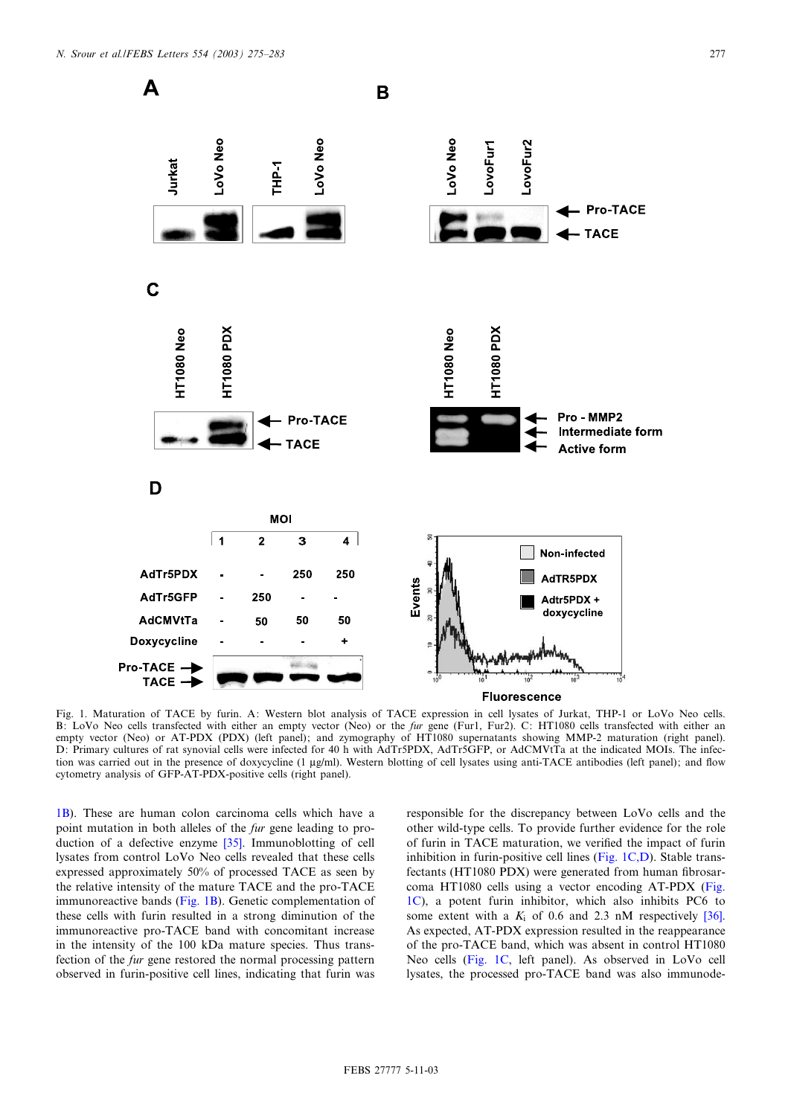<span id="page-2-0"></span>

Fig. 1. Maturation of TACE by furin. A: Western blot analysis of TACE expression in cell lysates of Jurkat, THP-1 or LoVo Neo cells. B: LoVo Neo cells transfected with either an empty vector (Neo) or the *fur gene* (Fur1, Fur2). C: HT1080 cells transfected with either an empty vector (Neo) or AT-PDX (PDX) (left panel); and zymography of HT1080 supernatants showing MMP-2 maturation (right panel). D: Primary cultures of rat synovial cells were infected for 40 h with AdTr5PDX, AdTr5GFP, or AdCMVtTa at the indicated MOIs. The infection was carried out in the presence of doxycycline (1 µg/ml). Western blotting of cell lysates using anti-TACE antibodies (left panel); and flow cytometry analysis of GFP-AT-PDX-positive cells (right panel).

1B). These are human colon carcinoma cells which have a point mutation in both alleles of the fur gene leading to production of a defective enzyme [\[35\]](#page-8-0). Immunoblotting of cell lysates from control LoVo Neo cells revealed that these cells expressed approximately 50% of processed TACE as seen by the relative intensity of the mature TACE and the pro-TACE immunoreactive bands (Fig. 1B). Genetic complementation of these cells with furin resulted in a strong diminution of the immunoreactive pro-TACE band with concomitant increase in the intensity of the 100 kDa mature species. Thus transfection of the fur gene restored the normal processing pattern observed in furin-positive cell lines, indicating that furin was

responsible for the discrepancy between LoVo cells and the other wild-type cells. To provide further evidence for the role of furin in TACE maturation, we verified the impact of furin inhibition in furin-positive cell lines (Fig. 1C,D). Stable transfectants (HT1080 PDX) were generated from human fibrosarcoma HT1080 cells using a vector encoding AT-PDX (Fig. 1C), a potent furin inhibitor, which also inhibits PC6 to some extent with a  $K_i$  of 0.6 and 2.3 nM respectively [\[36\].](#page-8-0) As expected, AT-PDX expression resulted in the reappearance of the pro-TACE band, which was absent in control HT1080 Neo cells (Fig. 1C, left panel). As observed in LoVo cell lysates, the processed pro-TACE band was also immunode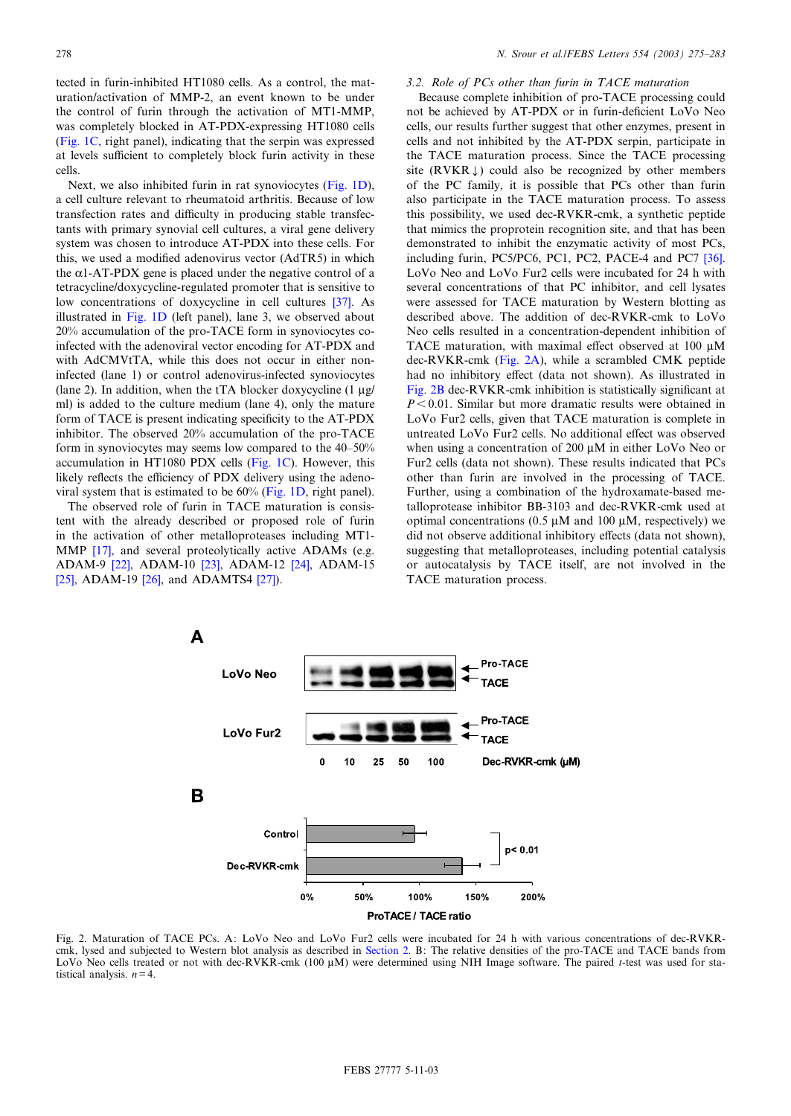tected in furin-inhibited HT1080 cells. As a control, the maturation/activation of MMP-2, an event known to be under the control of furin through the activation of MT1-MMP, was completely blocked in AT-PDX-expressing HT1080 cells ([Fig. 1C,](#page-2-0) right panel), indicating that the serpin was expressed at levels sufficient to completely block furin activity in these cells.

Next, we also inhibited furin in rat synoviocytes [\(Fig. 1D\)](#page-2-0), a cell culture relevant to rheumatoid arthritis. Because of low transfection rates and difficulty in producing stable transfectants with primary synovial cell cultures, a viral gene delivery system was chosen to introduce AT-PDX into these cells. For this, we used a modified adenovirus vector (AdTR5) in which the  $\alpha$ 1-AT-PDX gene is placed under the negative control of a tetracycline/doxycycline-regulated promoter that is sensitive to low concentrations of doxycycline in cell cultures [\[37\]](#page-8-0). As illustrated in [Fig. 1D](#page-2-0) (left panel), lane 3, we observed about 20% accumulation of the pro-TACE form in synoviocytes coinfected with the adenoviral vector encoding for AT-PDX and with AdCMVtTA, while this does not occur in either noninfected (lane 1) or control adenovirus-infected synoviocytes (lane 2). In addition, when the tTA blocker doxycycline  $(1 \mu g)$ ml) is added to the culture medium (lane 4), only the mature form of TACE is present indicating specificity to the AT-PDX inhibitor. The observed 20% accumulation of the pro-TACE form in synoviocytes may seems low compared to the  $40-50%$ accumulation in HT1080 PDX cells ([Fig. 1C\)](#page-2-0). However, this likely reflects the efficiency of PDX delivery using the adenoviral system that is estimated to be 60% ([Fig. 1D,](#page-2-0) right panel).

The observed role of furin in TACE maturation is consistent with the already described or proposed role of furin in the activation of other metalloproteases including MT1- MMP [\[17\],](#page-7-0) and several proteolytically active ADAMs (e.g. ADAM-9 [\[22\],](#page-7-0) ADAM-10 [\[23\]](#page-7-0), ADAM-12 [\[24\],](#page-7-0) ADAM-15 [\[25\],](#page-7-0) ADAM-19 [\[26\],](#page-7-0) and ADAMTS4 [\[27\]](#page-7-0)).

# 3.2. Role of PCs other than furin in TACE maturation

Because complete inhibition of pro-TACE processing could not be achieved by AT-PDX or in furin-deficient LoVo Neo cells, our results further suggest that other enzymes, present in cells and not inhibited by the AT-PDX serpin, participate in the TACE maturation process. Since the TACE processing site (RVKR $\downarrow$ ) could also be recognized by other members of the PC family, it is possible that PCs other than furin also participate in the TACE maturation process. To assess this possibility, we used dec-RVKR-cmk, a synthetic peptide that mimics the proprotein recognition site, and that has been demonstrated to inhibit the enzymatic activity of most PCs, including furin, PC5/PC6, PC1, PC2, PACE-4 and PC7 [\[36\].](#page-8-0) LoVo Neo and LoVo Fur2 cells were incubated for 24 h with several concentrations of that PC inhibitor, and cell lysates were assessed for TACE maturation by Western blotting as described above. The addition of dec-RVKR-cmk to LoVo Neo cells resulted in a concentration-dependent inhibition of TACE maturation, with maximal effect observed at 100  $\mu$ M dec-RVKR-cmk (Fig. 2A), while a scrambled CMK peptide had no inhibitory effect (data not shown). As illustrated in Fig. 2B dec-RVKR-cmk inhibition is statistically significant at  $P < 0.01$ . Similar but more dramatic results were obtained in LoVo Fur2 cells, given that TACE maturation is complete in untreated LoVo Fur2 cells. No additional effect was observed when using a concentration of 200  $\mu$ M in either LoVo Neo or Fur2 cells (data not shown). These results indicated that PCs other than furin are involved in the processing of TACE. Further, using a combination of the hydroxamate-based metalloprotease inhibitor BB-3103 and dec-RVKR-cmk used at optimal concentrations (0.5  $\mu$ M and 100  $\mu$ M, respectively) we did not observe additional inhibitory effects (data not shown), suggesting that metalloproteases, including potential catalysis or autocatalysis by TACE itself, are not involved in the TACE maturation process.



Fig. 2. Maturation of TACE PCs. A: LoVo Neo and LoVo Fur2 cells were incubated for 24 h with various concentrations of dec-RVKRcmk, lysed and subjected to Western blot analysis as described in [Section 2](#page-1-0). B: The relative densities of the pro-TACE and TACE bands from LoVo Neo cells treated or not with dec-RVKR-cmk (100 µM) were determined using NIH Image software. The paired t-test was used for statistical analysis.  $n = 4$ .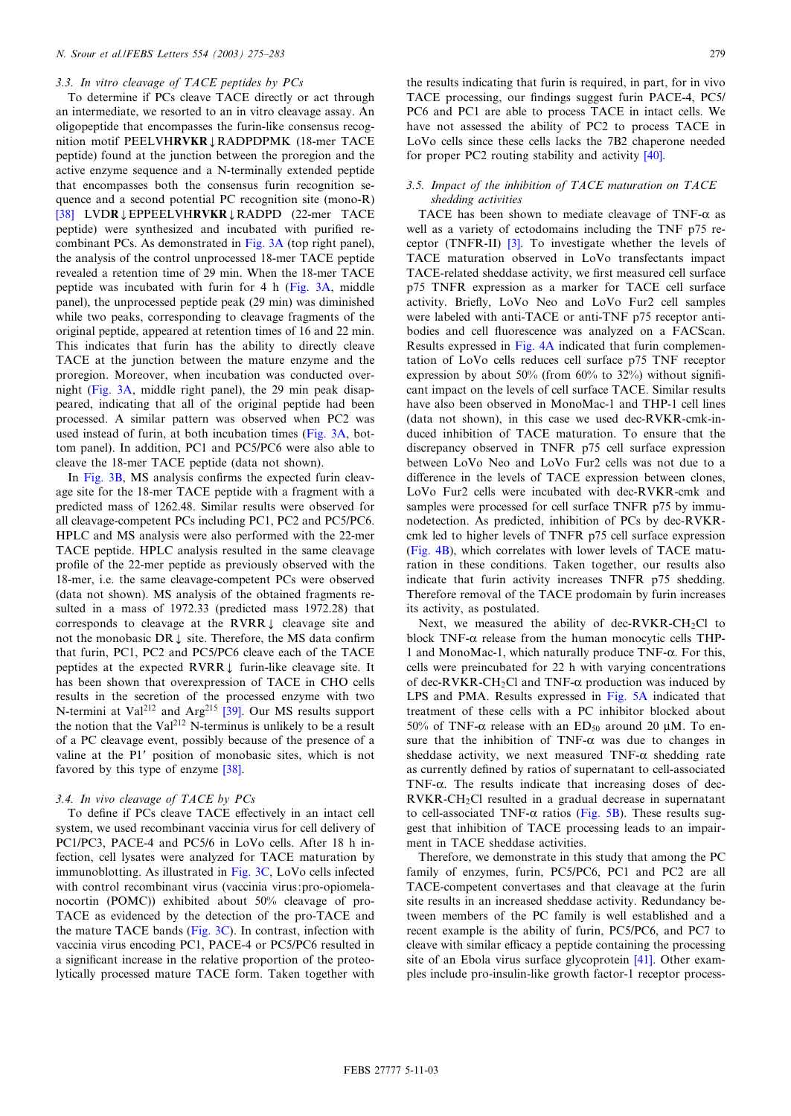# 3.3. In vitro cleavage of TACE peptides by PCs

To determine if PCs cleave TACE directly or act through an intermediate, we resorted to an in vitro cleavage assay. An oligopeptide that encompasses the furin-like consensus recognition motif PEELVHRVKR JRADPDPMK (18-mer TACE peptide) found at the junction between the proregion and the active enzyme sequence and a N-terminally extended peptide that encompasses both the consensus furin recognition sequence and a second potential PC recognition site (mono-R) [\[38\]](#page-8-0) LVDR J EPPEELVHRVKR J RADPD (22-mer TACE peptide) were synthesized and incubated with purified recombinant PCs. As demonstrated in [Fig. 3A](#page-6-0) (top right panel), the analysis of the control unprocessed 18-mer TACE peptide revealed a retention time of 29 min. When the 18-mer TACE peptide was incubated with furin for 4 h ([Fig. 3A,](#page-6-0) middle panel), the unprocessed peptide peak (29 min) was diminished while two peaks, corresponding to cleavage fragments of the original peptide, appeared at retention times of 16 and 22 min. This indicates that furin has the ability to directly cleave TACE at the junction between the mature enzyme and the proregion. Moreover, when incubation was conducted overnight ([Fig. 3A,](#page-6-0) middle right panel), the 29 min peak disappeared, indicating that all of the original peptide had been processed. A similar pattern was observed when PC2 was used instead of furin, at both incubation times ([Fig. 3A,](#page-6-0) bottom panel). In addition, PC1 and PC5/PC6 were also able to cleave the 18-mer TACE peptide (data not shown).

In [Fig. 3B](#page-6-0), MS analysis confirms the expected furin cleavage site for the 18-mer TACE peptide with a fragment with a predicted mass of 1262.48. Similar results were observed for all cleavage-competent PCs including PC1, PC2 and PC5/PC6. HPLC and MS analysis were also performed with the 22-mer TACE peptide. HPLC analysis resulted in the same cleavage profile of the 22-mer peptide as previously observed with the 18-mer, i.e. the same cleavage-competent PCs were observed (data not shown). MS analysis of the obtained fragments resulted in a mass of 1972.33 (predicted mass 1972.28) that corresponds to cleavage at the  $RVRR$  cleavage site and not the monobasic DR  $\downarrow$  site. Therefore, the MS data confirm that furin, PC1, PC2 and PC5/PC6 cleave each of the TACE peptides at the expected  $RVRL$  furin-like cleavage site. It has been shown that overexpression of TACE in CHO cells results in the secretion of the processed enzyme with two N-termini at Val<sup>212</sup> and Arg<sup>215</sup> [\[39\].](#page-8-0) Our MS results support the notion that the Val<sup>212</sup> N-terminus is unlikely to be a result of a PC cleavage event, possibly because of the presence of a valine at the P1' position of monobasic sites, which is not favored by this type of enzyme [\[38\].](#page-8-0)

# 3.4. In vivo cleavage of TACE by PCs

To define if PCs cleave TACE effectively in an intact cell system, we used recombinant vaccinia virus for cell delivery of PC1/PC3, PACE-4 and PC5/6 in LoVo cells. After 18 h infection, cell lysates were analyzed for TACE maturation by immunoblotting. As illustrated in [Fig. 3C,](#page-6-0) LoVo cells infected with control recombinant virus (vaccinia virus:pro-opiomelanocortin (POMC)) exhibited about 50% cleavage of pro-TACE as evidenced by the detection of the pro-TACE and the mature TACE bands ([Fig. 3C\)](#page-6-0). In contrast, infection with vaccinia virus encoding PC1, PACE-4 or PC5/PC6 resulted in a significant increase in the relative proportion of the proteolytically processed mature TACE form. Taken together with

the results indicating that furin is required, in part, for in vivo TACE processing, our findings suggest furin PACE-4, PC5/ PC6 and PC1 are able to process TACE in intact cells. We have not assessed the ability of PC2 to process TACE in LoVo cells since these cells lacks the 7B2 chaperone needed for proper PC2 routing stability and activity [\[40\].](#page-8-0)

# 3.5. Impact of the inhibition of TACE maturation on TACE shedding activities

TACE has been shown to mediate cleavage of TNF- $\alpha$  as well as a variety of ectodomains including the TNF p75 receptor (TNFR-II) [\[3\].](#page-7-0) To investigate whether the levels of TACE maturation observed in LoVo transfectants impact TACE-related sheddase activity, we first measured cell surface p75 TNFR expression as a marker for TACE cell surface activity. Brie£y, LoVo Neo and LoVo Fur2 cell samples were labeled with anti-TACE or anti-TNF p75 receptor antibodies and cell fluorescence was analyzed on a FACScan. Results expressed in [Fig. 4A](#page-6-0) indicated that furin complementation of LoVo cells reduces cell surface p75 TNF receptor expression by about 50% (from  $60\%$  to 32%) without significant impact on the levels of cell surface TACE. Similar results have also been observed in MonoMac-1 and THP-1 cell lines (data not shown), in this case we used dec-RVKR-cmk-induced inhibition of TACE maturation. To ensure that the discrepancy observed in TNFR p75 cell surface expression between LoVo Neo and LoVo Fur2 cells was not due to a difference in the levels of TACE expression between clones, LoVo Fur2 cells were incubated with dec-RVKR-cmk and samples were processed for cell surface TNFR p75 by immunodetection. As predicted, inhibition of PCs by dec-RVKRcmk led to higher levels of TNFR p75 cell surface expression [\(Fig. 4B](#page-6-0)), which correlates with lower levels of TACE maturation in these conditions. Taken together, our results also indicate that furin activity increases TNFR p75 shedding. Therefore removal of the TACE prodomain by furin increases its activity, as postulated.

Next, we measured the ability of dec-RVKR-CH<sub>2</sub>Cl to block TNF- $\alpha$  release from the human monocytic cells THP-1 and MonoMac-1, which naturally produce  $TNF-\alpha$ . For this, cells were preincubated for 22 h with varying concentrations of dec-RVKR-CH<sub>2</sub>Cl and TNF- $\alpha$  production was induced by LPS and PMA. Results expressed in [Fig. 5A](#page-7-0) indicated that treatment of these cells with a PC inhibitor blocked about 50% of TNF- $\alpha$  release with an ED<sub>50</sub> around 20  $\mu$ M. To ensure that the inhibition of TNF- $\alpha$  was due to changes in sheddase activity, we next measured  $TNF-\alpha$  shedding rate as currently defined by ratios of supernatant to cell-associated TNF- $\alpha$ . The results indicate that increasing doses of dec-RVKR-CH2Cl resulted in a gradual decrease in supernatant to cell-associated TNF- $\alpha$  ratios ([Fig. 5B](#page-7-0)). These results suggest that inhibition of TACE processing leads to an impairment in TACE sheddase activities.

Therefore, we demonstrate in this study that among the PC family of enzymes, furin, PC5/PC6, PC1 and PC2 are all TACE-competent convertases and that cleavage at the furin site results in an increased sheddase activity. Redundancy between members of the PC family is well established and a recent example is the ability of furin, PC5/PC6, and PC7 to cleave with similar efficacy a peptide containing the processing site of an Ebola virus surface glycoprotein [\[41\]](#page-8-0). Other examples include pro-insulin-like growth factor-1 receptor process-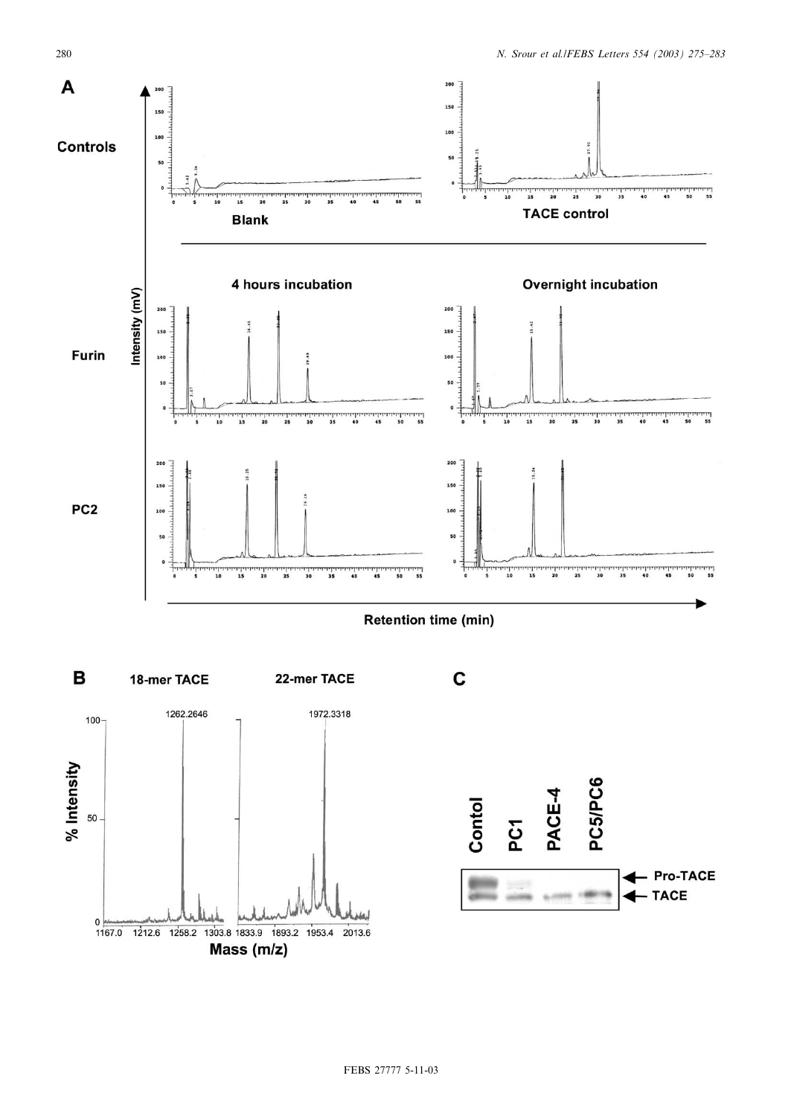



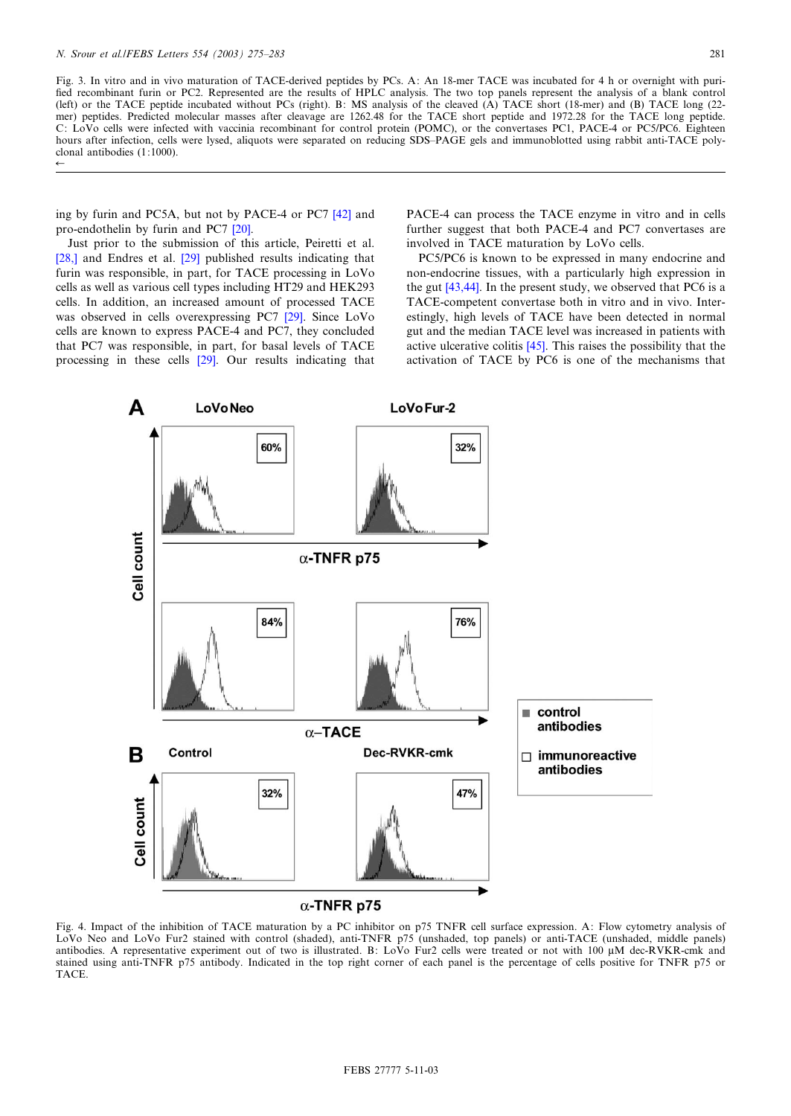$\leftarrow$ 

<span id="page-6-0"></span>Fig. 3. In vitro and in vivo maturation of TACE-derived peptides by PCs. A: An 18-mer TACE was incubated for 4 h or overnight with puri fied recombinant furin or PC2. Represented are the results of HPLC analysis. The two top panels represent the analysis of a blank control (left) or the TACE peptide incubated without PCs (right). B: MS analysis of the cleaved (A) TACE short (18-mer) and (B) TACE long (22 mer) peptides. Predicted molecular masses after cleavage are 1262.48 for the TACE short peptide and 1972.28 for the TACE long peptide. C: LoVo cells were infected with vaccinia recombinant for control protein (POMC), or the convertases PC1, PACE-4 or PC5/PC6. Eighteen hours after infection, cells were lysed, aliquots were separated on reducing SDS-PAGE gels and immunoblotted using rabbit anti-TACE polyclonal antibodies (1:1000).

ing by furin and PC5A, but not by PACE-4 or PC7 [\[42\]](#page-8-0) and pro-endothelin by furin and PC7 [\[20\].](#page-7-0)

Just prior to the submission of this article, Peiretti et al. [\[28,\]](#page-7-0) and Endres et al. [\[29\]](#page-7-0) published results indicating that furin was responsible, in part, for TACE processing in LoVo cells as well as various cell types including HT29 and HEK293 cells. In addition, an increased amount of processed TACE was observed in cells overexpressing PC7 [\[29\].](#page-7-0) Since LoVo cells are known to express PACE-4 and PC7, they concluded that PC7 was responsible, in part, for basal levels of TACE processing in these cells [\[29\]](#page-7-0). Our results indicating that PACE-4 can process the TACE enzyme in vitro and in cells further suggest that both PACE-4 and PC7 convertases are involved in TACE maturation by LoVo cells.

PC5/PC6 is known to be expressed in many endocrine and non-endocrine tissues, with a particularly high expression in the gut [\[43,44\].](#page-8-0) In the present study, we observed that PC6 is a TACE-competent convertase both in vitro and in vivo. Interestingly, high levels of TACE have been detected in normal gut and the median TACE level was increased in patients with active ulcerative colitis  $[45]$ . This raises the possibility that the activation of TACE by PC6 is one of the mechanisms that



Fig. 4. Impact of the inhibition of TACE maturation by a PC inhibitor on p75 TNFR cell surface expression. A: Flow cytometry analysis of LoVo Neo and LoVo Fur2 stained with control (shaded), anti-TNFR p75 (unshaded, top panels) or anti-TACE (unshaded, middle panels) antibodies. A representative experiment out of two is illustrated. B: LoVo Fur2 cells were treated or not with 100 µM dec-RVKR-cmk and stained using anti-TNFR p75 antibody. Indicated in the top right corner of each panel is the percentage of cells positive for TNFR p75 or TACE.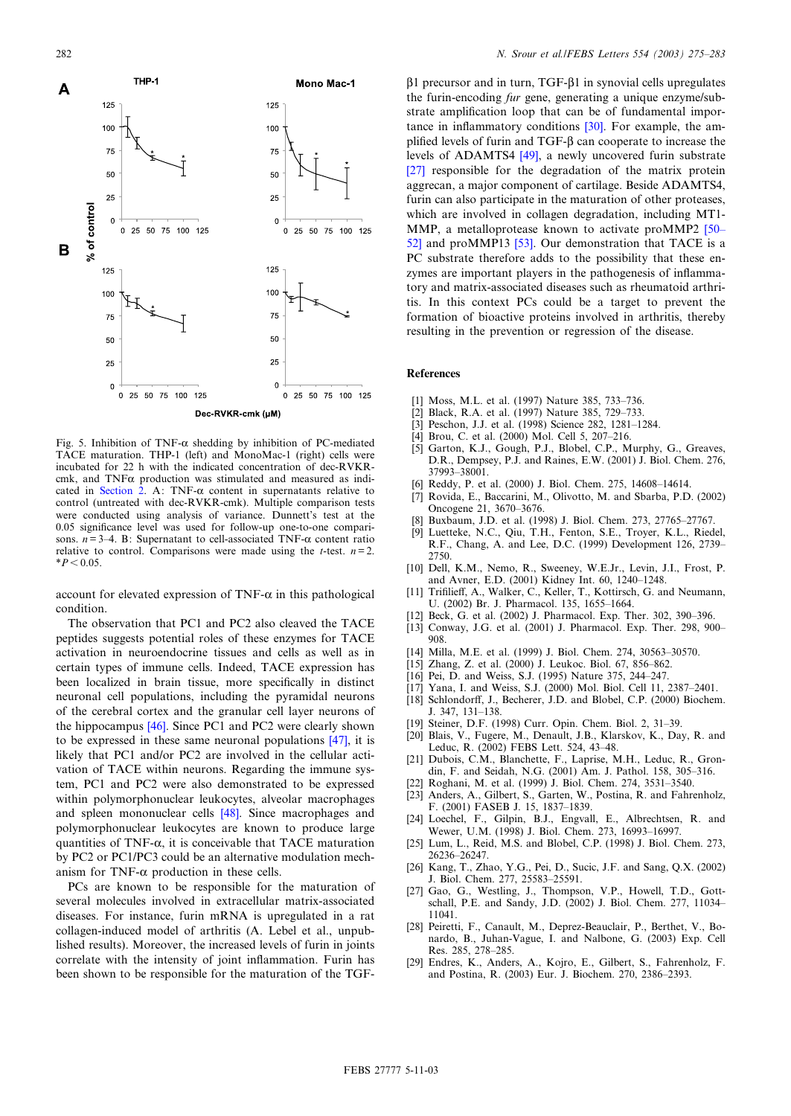<span id="page-7-0"></span>

Fig. 5. Inhibition of TNF- $\alpha$  shedding by inhibition of PC-mediated TACE maturation. THP-1 (left) and MonoMac-1 (right) cells were incubated for 22 h with the indicated concentration of dec-RVKRcmk, and  $TNF\alpha$  production was stimulated and measured as indi-cated in [Section 2](#page-1-0). A: TNF- $\alpha$  content in supernatants relative to control (untreated with dec-RVKR-cmk). Multiple comparison tests were conducted using analysis of variance. Dunnett's test at the 0.05 significance level was used for follow-up one-to-one comparisons.  $n=3-4$ . B: Supernatant to cell-associated TNF- $\alpha$  content ratio relative to control. Comparisons were made using the *t*-test.  $n=2$ .  $*P < 0.05$ .

account for elevated expression of TNF- $\alpha$  in this pathological condition.

The observation that PC1 and PC2 also cleaved the TACE peptides suggests potential roles of these enzymes for TACE activation in neuroendocrine tissues and cells as well as in certain types of immune cells. Indeed, TACE expression has been localized in brain tissue, more specifically in distinct neuronal cell populations, including the pyramidal neurons of the cerebral cortex and the granular cell layer neurons of the hippocampus [\[46\].](#page-8-0) Since PC1 and PC2 were clearly shown to be expressed in these same neuronal populations [\[47\],](#page-8-0) it is likely that PC1 and/or PC2 are involved in the cellular activation of TACE within neurons. Regarding the immune system, PC1 and PC2 were also demonstrated to be expressed within polymorphonuclear leukocytes, alveolar macrophages and spleen mononuclear cells [\[48\].](#page-8-0) Since macrophages and polymorphonuclear leukocytes are known to produce large quantities of TNF- $\alpha$ , it is conceivable that TACE maturation by PC2 or PC1/PC3 could be an alternative modulation mechanism for TNF- $\alpha$  production in these cells.

PCs are known to be responsible for the maturation of several molecules involved in extracellular matrix-associated diseases. For instance, furin mRNA is upregulated in a rat collagen-induced model of arthritis (A. Lebel et al., unpublished results). Moreover, the increased levels of furin in joints correlate with the intensity of joint inflammation. Furin has been shown to be responsible for the maturation of the TGF-

 $\beta$ 1 precursor and in turn, TGF- $\beta$ 1 in synovial cells upregulates the furin-encoding fur gene, generating a unique enzyme/substrate amplification loop that can be of fundamental importance in inflammatory conditions  $[30]$ . For example, the amplified levels of furin and  $TGF-\beta$  can cooperate to increase the levels of ADAMTS4 [\[49\]](#page-8-0), a newly uncovered furin substrate [27] responsible for the degradation of the matrix protein aggrecan, a major component of cartilage. Beside ADAMTS4, furin can also participate in the maturation of other proteases, which are involved in collagen degradation, including MT1- MMP, a metalloprotease known to activate proMMP2 [50– [52\]](#page-8-0) and proMMP13 [\[53\]](#page-8-0). Our demonstration that TACE is a PC substrate therefore adds to the possibility that these enzymes are important players in the pathogenesis of inflammatory and matrix-associated diseases such as rheumatoid arthritis. In this context PCs could be a target to prevent the formation of bioactive proteins involved in arthritis, thereby resulting in the prevention or regression of the disease.

## References

- [1] Moss, M.L. et al. (1997) Nature 385, 733-736.
- [2] Black, R.A. et al. (1997) Nature 385, 729-733.
- [3] Peschon, J.J. et al. (1998) Science 282, 1281-1284.
- [4] Brou, C. et al. (2000) Mol. Cell 5, 207-216.
- [5] Garton, K.J., Gough, P.J., Blobel, C.P., Murphy, G., Greaves, D.R., Dempsey, P.J. and Raines, E.W. (2001) J. Biol. Chem. 276, 37993^38001.
- [6] Reddy, P. et al. (2000) J. Biol. Chem. 275, 14608-14614.
- [7] Rovida, E., Baccarini, M., Olivotto, M. and Sbarba, P.D. (2002) Oncogene 21, 3670-3676.
- Buxbaum, J.D. et al. (1998) J. Biol. Chem. 273, 27765-27767.
- [9] Luetteke, N.C., Qiu, T.H., Fenton, S.E., Troyer, K.L., Riedel, R.F., Chang, A. and Lee, D.C. (1999) Development 126, 2739^ 2750.
- [10] Dell, K.M., Nemo, R., Sweeney, W.E.Jr., Levin, J.I., Frost, P. and Avner, E.D. (2001) Kidney Int. 60, 1240^1248.
- [11] Trifilieff, A., Walker, C., Keller, T., Kottirsch, G. and Neumann, U. (2002) Br. J. Pharmacol. 135, 1655-1664.
- [12] Beck, G. et al. (2002) J. Pharmacol. Exp. Ther. 302, 390-396.
- [13] Conway, J.G. et al. (2001) J. Pharmacol. Exp. Ther. 298, 900-908.
- [14] Milla, M.E. et al. (1999) J. Biol. Chem. 274, 30563-30570.
- [15] Zhang, Z. et al. (2000) J. Leukoc. Biol. 67, 856-862.
- [16] Pei, D. and Weiss, S.J. (1995) Nature 375, 244-247.
- 
- [17] Yana, I. and Weiss, S.J. (2000) Mol. Biol. Cell 11, 2387-2401.
- [18] Schlondorff, J., Becherer, J.D. and Blobel, C.P. (2000) Biochem.
- J. 347, 131^138. [19] Steiner, D.F. (1998) Curr. Opin. Chem. Biol. 2, 31-39.
- 
- [20] Blais, V., Fugere, M., Denault, J.B., Klarskov, K., Day, R. and Leduc, R. (2002) FEBS Lett. 524, 43^48.
- [21] Dubois, C.M., Blanchette, F., Laprise, M.H., Leduc, R., Grondin, F. and Seidah, N.G. (2001) Am. J. Pathol. 158, 305^316.
- [22] Roghani, M. et al. (1999) J. Biol. Chem. 274, 3531-3540.
- [23] Anders, A., Gilbert, S., Garten, W., Postina, R. and Fahrenholz, F. (2001) FASEB J. 15, 1837^1839.
- [24] Loechel, F., Gilpin, B.J., Engvall, E., Albrechtsen, R. and Wewer, U.M. (1998) J. Biol. Chem. 273, 16993-16997.
- [25] Lum, L., Reid, M.S. and Blobel, C.P. (1998) J. Biol. Chem. 273, 26236^26247.
- [26] Kang, T., Zhao, Y.G., Pei, D., Sucic, J.F. and Sang, Q.X. (2002) J. Biol. Chem. 277, 25583^25591.
- [27] Gao, G., Westling, J., Thompson, V.P., Howell, T.D., Gottschall, P.E. and Sandy, J.D. (2002) J. Biol. Chem. 277, 11034^ 11041.
- [28] Peiretti, F., Canault, M., Deprez-Beauclair, P., Berthet, V., Bonardo, B., Juhan-Vague, I. and Nalbone, G. (2003) Exp. Cell Res. 285, 278^285.
- [29] Endres, K., Anders, A., Kojro, E., Gilbert, S., Fahrenholz, F. and Postina, R. (2003) Eur. J. Biochem. 270, 2386^2393.